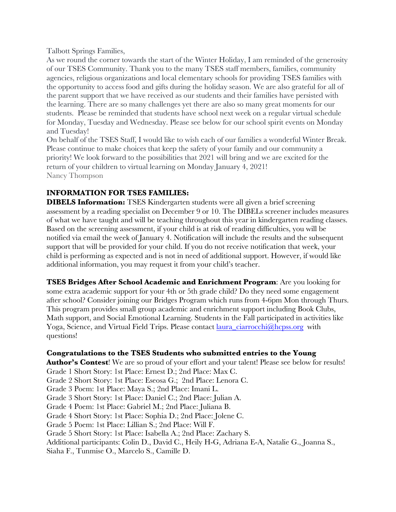Talbott Springs Families,

As we round the corner towards the start of the Winter Holiday, I am reminded of the generosity of our TSES Community. Thank you to the many TSES staff members, families, community agencies, religious organizations and local elementary schools for providing TSES families with the opportunity to access food and gifts during the holiday season. We are also grateful for all of the parent support that we have received as our students and their families have persisted with the learning. There are so many challenges yet there are also so many great moments for our students. Please be reminded that students have school next week on a regular virtual schedule for Monday, Tuesday and Wednesday. Please see below for our school spirit events on Monday and Tuesday!

On behalf of the TSES Staff, I would like to wish each of our families a wonderful Winter Break. Please continue to make choices that keep the safety of your family and our community a priority! We look forward to the possibilities that 2021 will bring and we are excited for the return of your children to virtual learning on Monday January 4, 2021! Nancy Thompson

# **INFORMATION FOR TSES FAMILIES:**

**DIBELS Information:** TSES Kindergarten students were all given a brief screening assessment by a reading specialist on December 9 or 10. The DIBELs screener includes measures of what we have taught and will be teaching throughout this year in kindergarten reading classes. Based on the screening assessment, if your child is at risk of reading difficulties, you will be notified via email the week of January 4. Notification will include the results and the subsequent support that will be provided for your child. If you do not receive notification that week, your child is performing as expected and is not in need of additional support. However, if would like additional information, you may request it from your child's teacher.

**TSES Bridges After School Academic and Enrichment Program**: Are you looking for some extra academic support for your 4th or 5th grade child? Do they need some engagement after school? Consider joining our Bridges Program which runs from 4-6pm Mon through Thurs. This program provides small group academic and enrichment support including Book Clubs, Math support, and Social Emotional Learning. Students in the Fall participated in activities like Yoga, Science, and Virtual Field Trips. Please contact laura\_ciarrocchi@hcpss.org with questions!

### **Congratulations to the TSES Students who submitted entries to the Young**

Author's Contest! We are so proud of your effort and your talent! Please see below for results! Grade 1 Short Story: 1st Place: Ernest D.; 2nd Place: Max C. Grade 2 Short Story: 1st Place: Eseosa G.; 2nd Place: Lenora C. Grade 3 Poem: 1st Place: Maya S.; 2nd Place: Imani L. Grade 3 Short Story: 1st Place: Daniel C.; 2nd Place: Julian A. Grade 4 Poem: 1st Place: Gabriel M.; 2nd Place: Juliana B. Grade 4 Short Story: 1st Place: Sophia D.; 2nd Place: Jolene C. Grade 5 Poem: 1st Place: Lillian S.; 2nd Place: Will F. Grade 5 Short Story: 1st Place: Isabella A.; 2nd Place: Zachary S. Additional participants: Colin D., David C., Heily H-G, Adriana E-A, Natalie G., Joanna S., Siaha F., Tunmise O., Marcelo S., Camille D.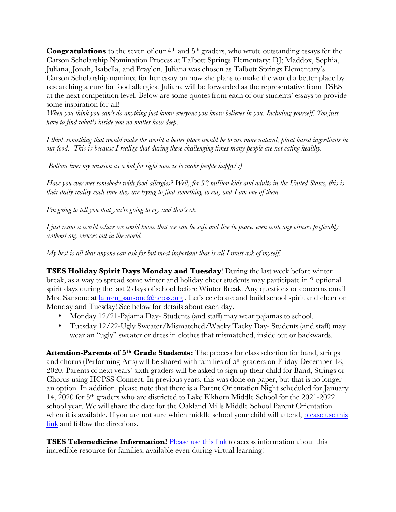**Congratulations** to the seven of our 4<sup>th</sup> and 5<sup>th</sup> graders, who wrote outstanding essays for the Carson Scholarship Nomination Process at Talbott Springs Elementary: DJ; Maddox, Sophia, Juliana, Jonah, Isabella, and Braylon. Juliana was chosen as Talbott Springs Elementary's Carson Scholarship nominee for her essay on how she plans to make the world a better place by researching a cure for food allergies. Juliana will be forwarded as the representative from TSES at the next competition level. Below are some quotes from each of our students' essays to provide some inspiration for all!

*When you think you can't do anything just know everyone you know believes in you. Including yourself. You just have to find what's inside you no matter how deep.*

*I think something that would make the world a better place would be to use more natural, plant based ingredients in our food. This is because I realize that during these challenging times many people are not eating healthy.*

*Bottom line: my mission as a kid for right now is to make people happy! :)*

*Have you ever met somebody with food allergies? Well, for 32 million kids and adults in the United States, this is their daily reality each time they are trying to find something to eat, and I am one of them.* 

*I'm going to tell you that you're going to cry and that's ok.*

*I just want a world where we could know that we can be safe and live in peace, even with any viruses preferably without any viruses out in the world.*

*My best is all that anyone can ask for but most important that is all I must ask of myself.*

**TSES Holiday Spirit Days Monday and Tuesday**! During the last week before winter break, as a way to spread some winter and holiday cheer students may participate in 2 optional spirit days during the last 2 days of school before Winter Break. Any questions or concerns email Mrs. Sansone at lauren\_sansone@hcpss.org. Let's celebrate and build school spirit and cheer on Monday and Tuesday! See below for details about each day.

- Monday 12/21-Pajama Day-Students (and staff) may wear pajamas to school.
- Tuesday 12/22-Ugly Sweater/Mismatched/Wacky Tacky Day- Students (and staff) may wear an "ugly" sweater or dress in clothes that mismatched, inside out or backwards.

**Attention-Parents of 5th Grade Students:** The process for class selection for band, strings and chorus (Performing Arts) will be shared with families of 5th graders on Friday December 18, 2020. Parents of next years' sixth graders will be asked to sign up their child for Band, Strings or Chorus using HCPSS Connect. In previous years, this was done on paper, but that is no longer an option. In addition, please note that there is a Parent Orientation Night scheduled for January 14, 2020 for 5th graders who are districted to Lake Elkhorn Middle School for the 2021-2022 school year. We will share the date for the Oakland Mills Middle School Parent Orientation when it is available. If you are not sure which middle school your child will attend, please use this link and follow the directions.

**TSES Telemedicine Information!** Please use this link to access information about this incredible resource for families, available even during virtual learning!